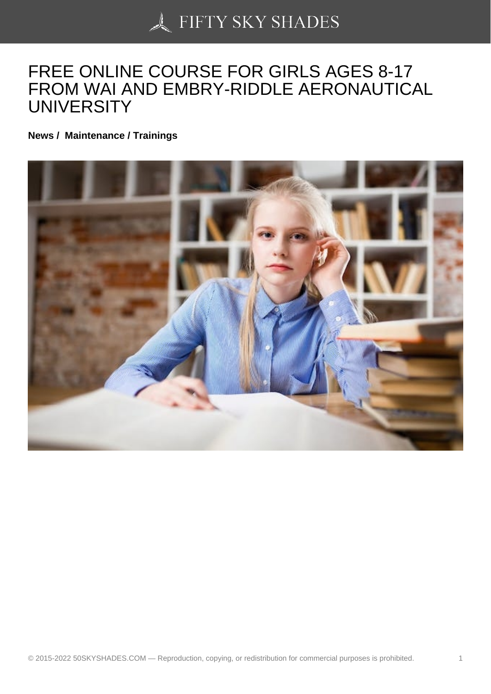## [FREE ONLINE COURS](https://50skyshades.com)E FOR GIRLS AGES 8-17 FROM WAI AND EMBRY-RIDDLE AERONAUTICAL UNIVERSITY

News / Maintenance / Trainings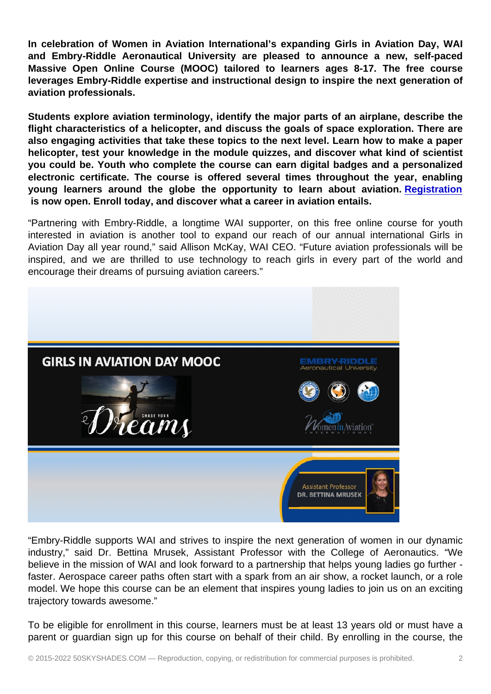In celebration of Women in Aviation International's expanding Girls in Aviation Day, WAI and Embry-Riddle Aeronautical University are pleased to announce a new, self-paced Massive Open Online Course (MOOC) tailored to learners ages 8-17. The free course leverages Embry-Riddle expertise and instructional design to inspire the next generation of aviation professionals.

Students explore aviation terminology, identify the major parts of an airplane, describe the flight characteristics of a helicopter, and discuss the goals of space exploration. There are also engaging activities that take these topics to the next level. Learn how to make a paper helicopter, test your knowledge in the module quizzes, and discover what kind of scientist you could be. Youth who complete the course can earn digital badges and a personalized electronic certificate. The course is offered several times throughout the year, enabling young learners around the globe the opportunity to learn about aviation. Registration is now open. Enroll today, and discover what a career in aviation entails.

"Partnering with Embry-Riddle, a longtime WAI supporter, on this free online course for youth interested in aviation is another tool to expand our reach of our annual internat[ional Girls in](https://wai.us11.list-manage.com/track/click?u=dc1bacd500d566a07d6468f43&id=6d0aa36bfd&e=431a64b1e0) Aviation Day all year round," said Allison McKay, WAI CEO. "Future aviation professionals will be inspired, and we are thrilled to use technology to reach girls in every part of the world and encourage their dreams of pursuing aviation careers."

"Embry-Riddle supports WAI and strives to inspire the next generation of women in our dynamic industry," said Dr. Bettina Mrusek, Assistant Professor with the College of Aeronautics. "We believe in the mission of WAI and look forward to a partnership that helps young ladies go further faster. Aerospace career paths often start with a spark from an air show, a rocket launch, or a role model. We hope this course can be an element that inspires young ladies to join us on an exciting trajectory towards awesome."

To be eligible for enrollment in this course, learners must be at least 13 years old or must have a parent or guardian sign up for this course on behalf of their child. By enrolling in the course, the